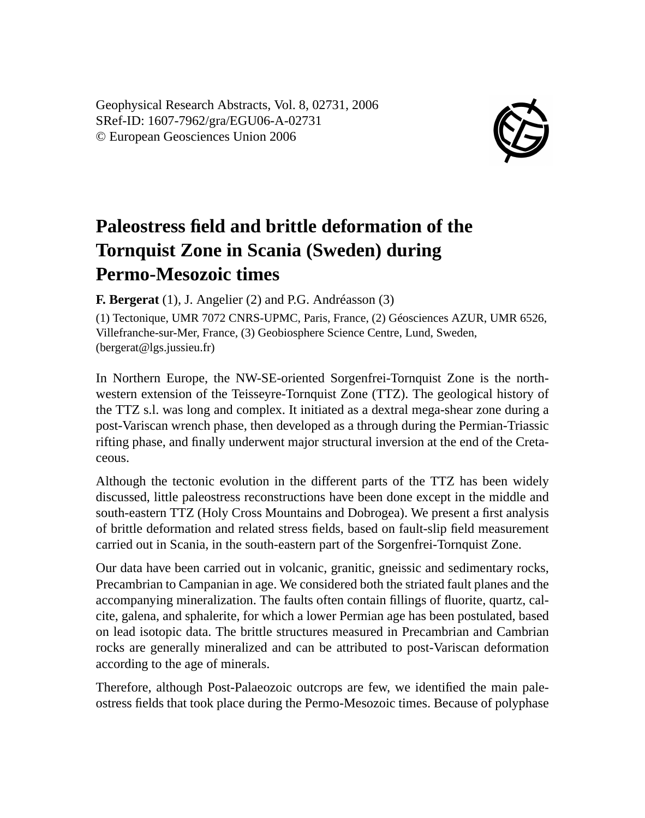Geophysical Research Abstracts, Vol. 8, 02731, 2006 SRef-ID: 1607-7962/gra/EGU06-A-02731 © European Geosciences Union 2006



## **Paleostress field and brittle deformation of the Tornquist Zone in Scania (Sweden) during Permo-Mesozoic times**

**F. Bergerat** (1), J. Angelier (2) and P.G. Andréasson (3)

(1) Tectonique, UMR 7072 CNRS-UPMC, Paris, France, (2) Géosciences AZUR, UMR 6526, Villefranche-sur-Mer, France, (3) Geobiosphere Science Centre, Lund, Sweden, (bergerat@lgs.jussieu.fr)

In Northern Europe, the NW-SE-oriented Sorgenfrei-Tornquist Zone is the northwestern extension of the Teisseyre-Tornquist Zone (TTZ). The geological history of the TTZ s.l. was long and complex. It initiated as a dextral mega-shear zone during a post-Variscan wrench phase, then developed as a through during the Permian-Triassic rifting phase, and finally underwent major structural inversion at the end of the Cretaceous.

Although the tectonic evolution in the different parts of the TTZ has been widely discussed, little paleostress reconstructions have been done except in the middle and south-eastern TTZ (Holy Cross Mountains and Dobrogea). We present a first analysis of brittle deformation and related stress fields, based on fault-slip field measurement carried out in Scania, in the south-eastern part of the Sorgenfrei-Tornquist Zone.

Our data have been carried out in volcanic, granitic, gneissic and sedimentary rocks, Precambrian to Campanian in age. We considered both the striated fault planes and the accompanying mineralization. The faults often contain fillings of fluorite, quartz, calcite, galena, and sphalerite, for which a lower Permian age has been postulated, based on lead isotopic data. The brittle structures measured in Precambrian and Cambrian rocks are generally mineralized and can be attributed to post-Variscan deformation according to the age of minerals.

Therefore, although Post-Palaeozoic outcrops are few, we identified the main paleostress fields that took place during the Permo-Mesozoic times. Because of polyphase